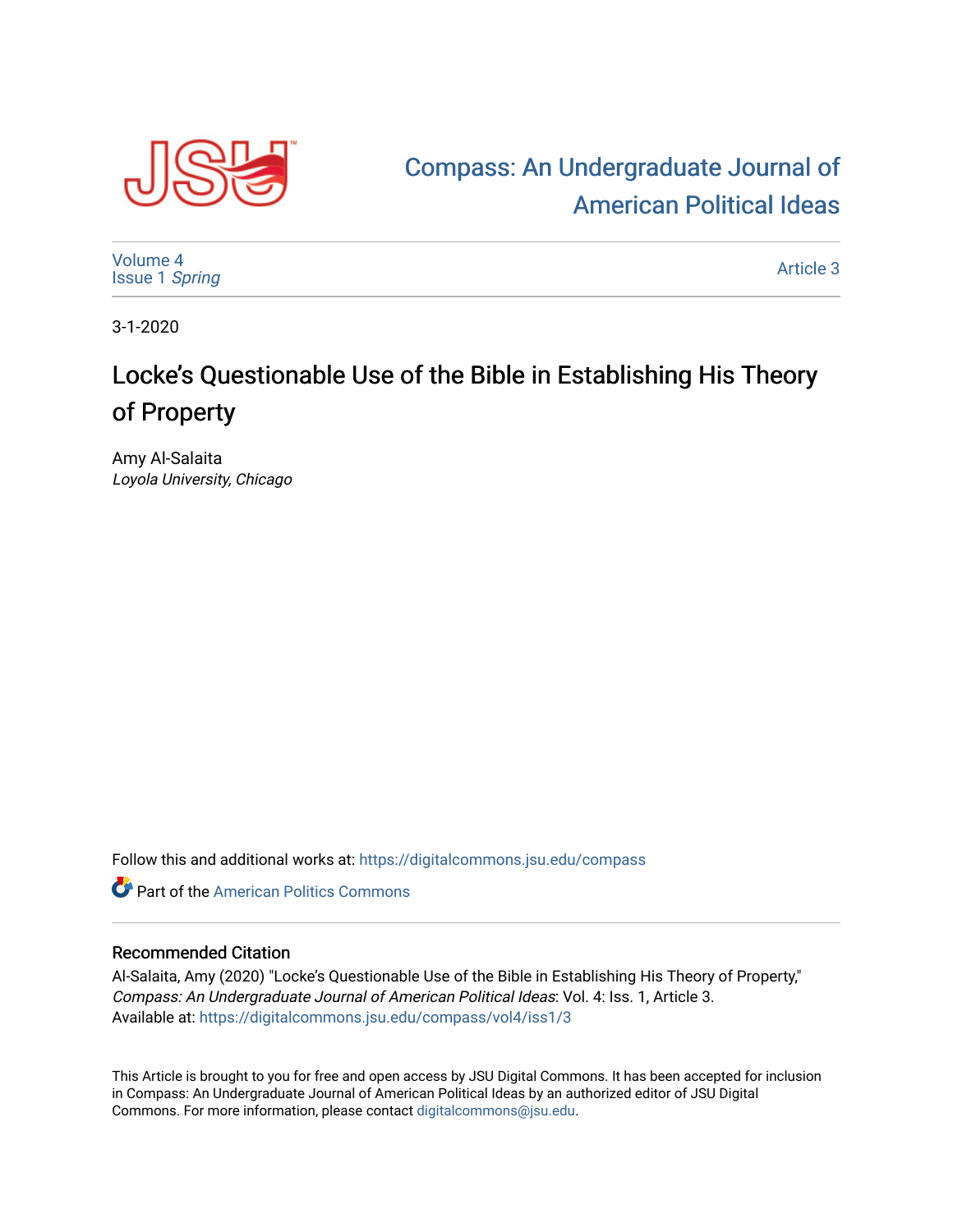

## [Compass: An Undergraduate Journal of](https://digitalcommons.jsu.edu/compass)  [American Political Ideas](https://digitalcommons.jsu.edu/compass)

[Volume 4](https://digitalcommons.jsu.edu/compass/vol4) [Issue 1](https://digitalcommons.jsu.edu/compass/vol4/iss1) Spring

[Article 3](https://digitalcommons.jsu.edu/compass/vol4/iss1/3) 

3-1-2020

## Locke's Questionable Use of the Bible in Establishing His Theory of Property

Amy Al-Salaita Loyola University, Chicago

Follow this and additional works at: [https://digitalcommons.jsu.edu/compass](https://digitalcommons.jsu.edu/compass?utm_source=digitalcommons.jsu.edu%2Fcompass%2Fvol4%2Fiss1%2F3&utm_medium=PDF&utm_campaign=PDFCoverPages)

**Part of the American Politics Commons** 

## Recommended Citation

Al-Salaita, Amy (2020) "Locke's Questionable Use of the Bible in Establishing His Theory of Property," Compass: An Undergraduate Journal of American Political Ideas: Vol. 4: Iss. 1, Article 3. Available at: [https://digitalcommons.jsu.edu/compass/vol4/iss1/3](https://digitalcommons.jsu.edu/compass/vol4/iss1/3?utm_source=digitalcommons.jsu.edu%2Fcompass%2Fvol4%2Fiss1%2F3&utm_medium=PDF&utm_campaign=PDFCoverPages)

This Article is brought to you for free and open access by JSU Digital Commons. It has been accepted for inclusion in Compass: An Undergraduate Journal of American Political Ideas by an authorized editor of JSU Digital Commons. For more information, please contact [digitalcommons@jsu.edu.](mailto:digitalcommons@jsu.edu)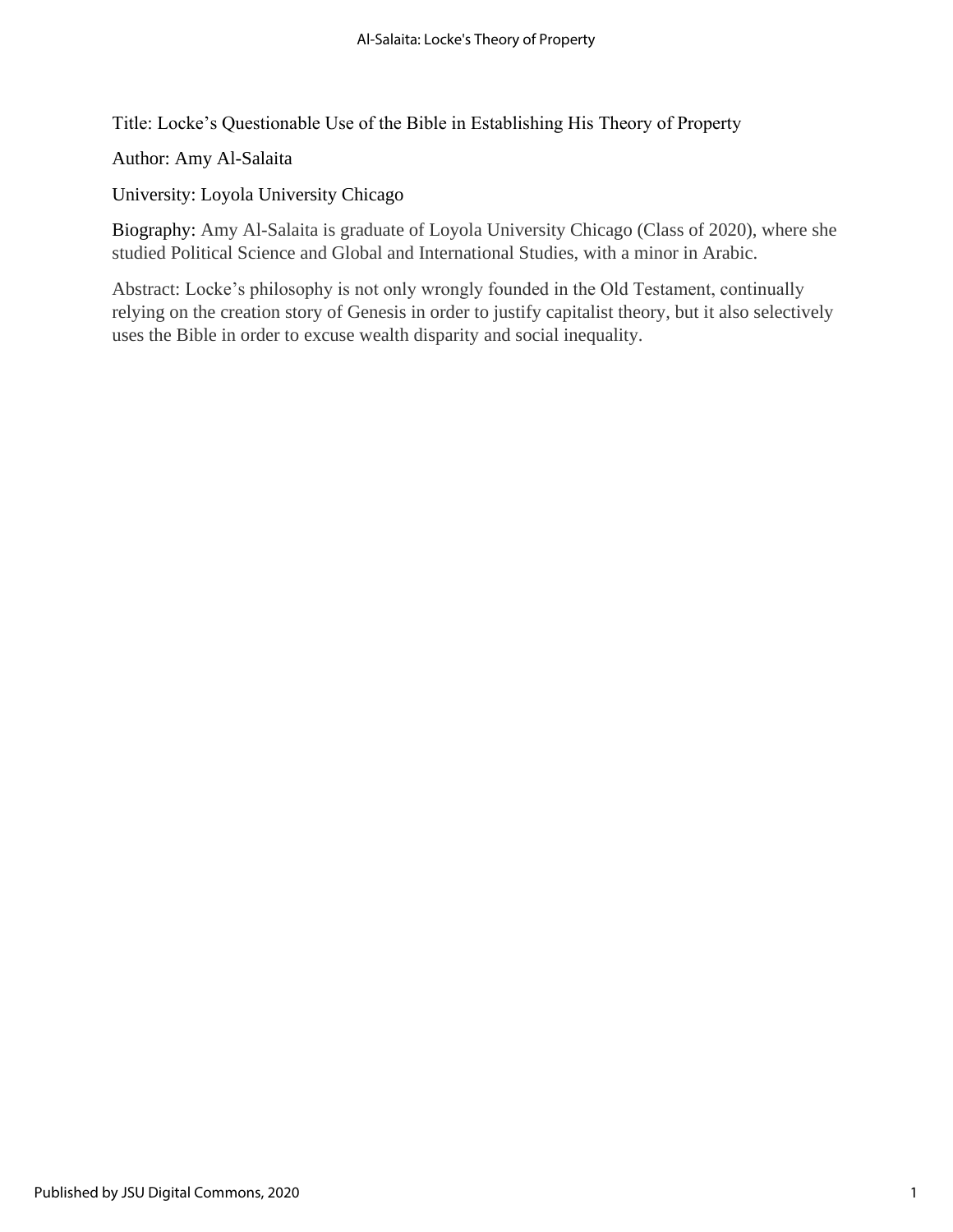Title: Locke's Questionable Use of the Bible in Establishing His Theory of Property

Author: Amy Al-Salaita

University: Loyola University Chicago

Biography: Amy Al-Salaita is graduate of Loyola University Chicago (Class of 2020), where she studied Political Science and Global and International Studies, with a minor in Arabic.

Abstract: Locke's philosophy is not only wrongly founded in the Old Testament, continually relying on the creation story of Genesis in order to justify capitalist theory, but it also selectively uses the Bible in order to excuse wealth disparity and social inequality.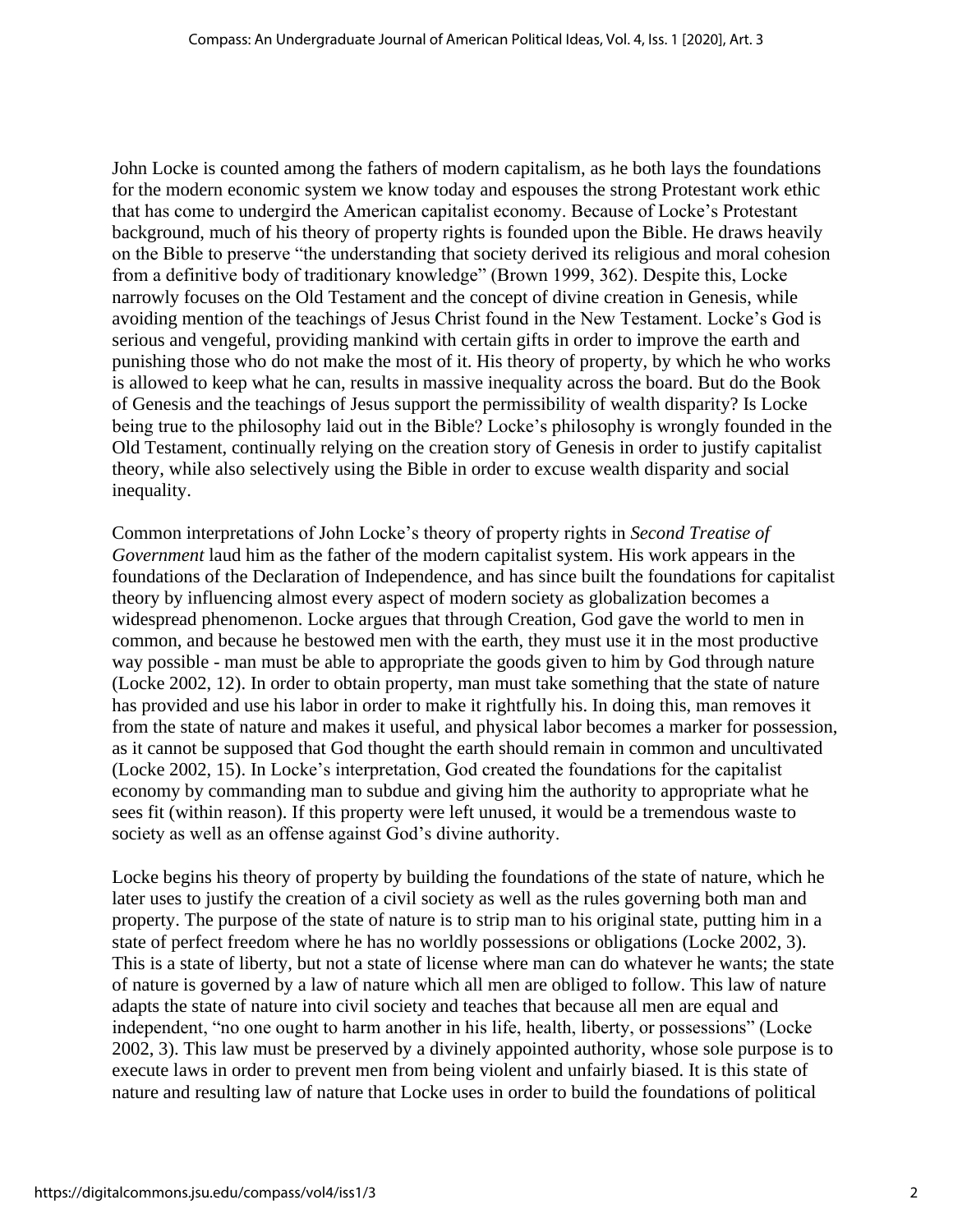John Locke is counted among the fathers of modern capitalism, as he both lays the foundations for the modern economic system we know today and espouses the strong Protestant work ethic that has come to undergird the American capitalist economy. Because of Locke's Protestant background, much of his theory of property rights is founded upon the Bible. He draws heavily on the Bible to preserve "the understanding that society derived its religious and moral cohesion from a definitive body of traditionary knowledge" (Brown 1999, 362). Despite this, Locke narrowly focuses on the Old Testament and the concept of divine creation in Genesis, while avoiding mention of the teachings of Jesus Christ found in the New Testament. Locke's God is serious and vengeful, providing mankind with certain gifts in order to improve the earth and punishing those who do not make the most of it. His theory of property, by which he who works is allowed to keep what he can, results in massive inequality across the board. But do the Book of Genesis and the teachings of Jesus support the permissibility of wealth disparity? Is Locke being true to the philosophy laid out in the Bible? Locke's philosophy is wrongly founded in the Old Testament, continually relying on the creation story of Genesis in order to justify capitalist theory, while also selectively using the Bible in order to excuse wealth disparity and social inequality.

Common interpretations of John Locke's theory of property rights in *Second Treatise of Government* laud him as the father of the modern capitalist system. His work appears in the foundations of the Declaration of Independence, and has since built the foundations for capitalist theory by influencing almost every aspect of modern society as globalization becomes a widespread phenomenon. Locke argues that through Creation, God gave the world to men in common, and because he bestowed men with the earth, they must use it in the most productive way possible - man must be able to appropriate the goods given to him by God through nature (Locke 2002, 12). In order to obtain property, man must take something that the state of nature has provided and use his labor in order to make it rightfully his. In doing this, man removes it from the state of nature and makes it useful, and physical labor becomes a marker for possession, as it cannot be supposed that God thought the earth should remain in common and uncultivated (Locke 2002, 15). In Locke's interpretation, God created the foundations for the capitalist economy by commanding man to subdue and giving him the authority to appropriate what he sees fit (within reason). If this property were left unused, it would be a tremendous waste to society as well as an offense against God's divine authority.

Locke begins his theory of property by building the foundations of the state of nature, which he later uses to justify the creation of a civil society as well as the rules governing both man and property. The purpose of the state of nature is to strip man to his original state, putting him in a state of perfect freedom where he has no worldly possessions or obligations (Locke 2002, 3). This is a state of liberty, but not a state of license where man can do whatever he wants; the state of nature is governed by a law of nature which all men are obliged to follow. This law of nature adapts the state of nature into civil society and teaches that because all men are equal and independent, "no one ought to harm another in his life, health, liberty, or possessions" (Locke 2002, 3). This law must be preserved by a divinely appointed authority, whose sole purpose is to execute laws in order to prevent men from being violent and unfairly biased. It is this state of nature and resulting law of nature that Locke uses in order to build the foundations of political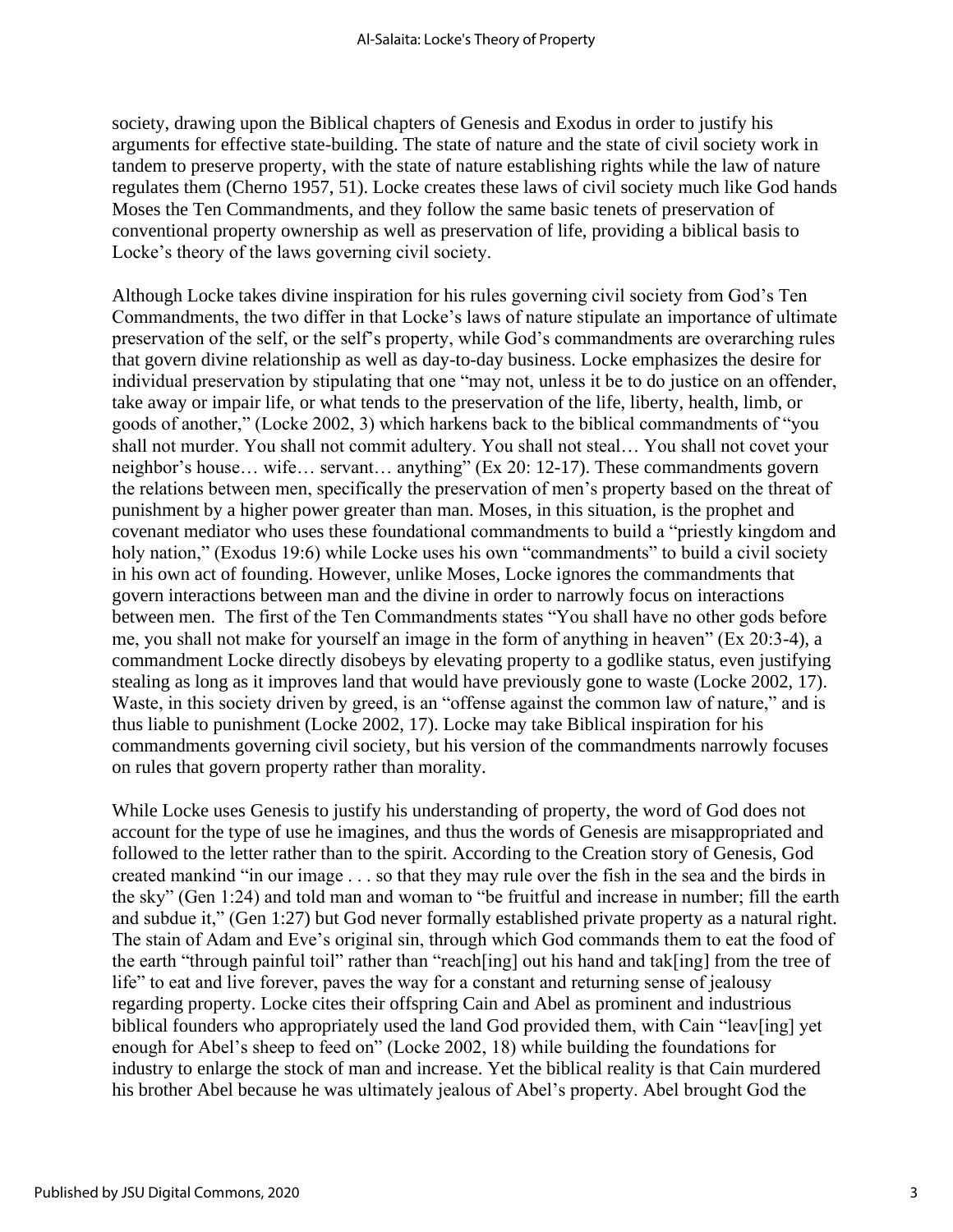society, drawing upon the Biblical chapters of Genesis and Exodus in order to justify his arguments for effective state-building. The state of nature and the state of civil society work in tandem to preserve property, with the state of nature establishing rights while the law of nature regulates them (Cherno 1957, 51). Locke creates these laws of civil society much like God hands Moses the Ten Commandments, and they follow the same basic tenets of preservation of conventional property ownership as well as preservation of life, providing a biblical basis to Locke's theory of the laws governing civil society.

Although Locke takes divine inspiration for his rules governing civil society from God's Ten Commandments, the two differ in that Locke's laws of nature stipulate an importance of ultimate preservation of the self, or the self's property, while God's commandments are overarching rules that govern divine relationship as well as day-to-day business. Locke emphasizes the desire for individual preservation by stipulating that one "may not, unless it be to do justice on an offender, take away or impair life, or what tends to the preservation of the life, liberty, health, limb, or goods of another," (Locke 2002, 3) which harkens back to the biblical commandments of "you shall not murder. You shall not commit adultery. You shall not steal… You shall not covet your neighbor's house… wife… servant… anything" (Ex 20: 12-17). These commandments govern the relations between men, specifically the preservation of men's property based on the threat of punishment by a higher power greater than man. Moses, in this situation, is the prophet and covenant mediator who uses these foundational commandments to build a "priestly kingdom and holy nation," (Exodus 19:6) while Locke uses his own "commandments" to build a civil society in his own act of founding. However, unlike Moses, Locke ignores the commandments that govern interactions between man and the divine in order to narrowly focus on interactions between men. The first of the Ten Commandments states "You shall have no other gods before me, you shall not make for yourself an image in the form of anything in heaven" (Ex 20:3-4), a commandment Locke directly disobeys by elevating property to a godlike status, even justifying stealing as long as it improves land that would have previously gone to waste (Locke 2002, 17). Waste, in this society driven by greed, is an "offense against the common law of nature," and is thus liable to punishment (Locke 2002, 17). Locke may take Biblical inspiration for his commandments governing civil society, but his version of the commandments narrowly focuses on rules that govern property rather than morality.

While Locke uses Genesis to justify his understanding of property, the word of God does not account for the type of use he imagines, and thus the words of Genesis are misappropriated and followed to the letter rather than to the spirit. According to the Creation story of Genesis, God created mankind "in our image . . . so that they may rule over the fish in the sea and the birds in the sky" (Gen 1:24) and told man and woman to "be fruitful and increase in number; fill the earth and subdue it," (Gen 1:27) but God never formally established private property as a natural right. The stain of Adam and Eve's original sin, through which God commands them to eat the food of the earth "through painful toil" rather than "reach[ing] out his hand and tak[ing] from the tree of life" to eat and live forever, paves the way for a constant and returning sense of jealousy regarding property. Locke cites their offspring Cain and Abel as prominent and industrious biblical founders who appropriately used the land God provided them, with Cain "leav[ing] yet enough for Abel's sheep to feed on" (Locke 2002, 18) while building the foundations for industry to enlarge the stock of man and increase. Yet the biblical reality is that Cain murdered his brother Abel because he was ultimately jealous of Abel's property. Abel brought God the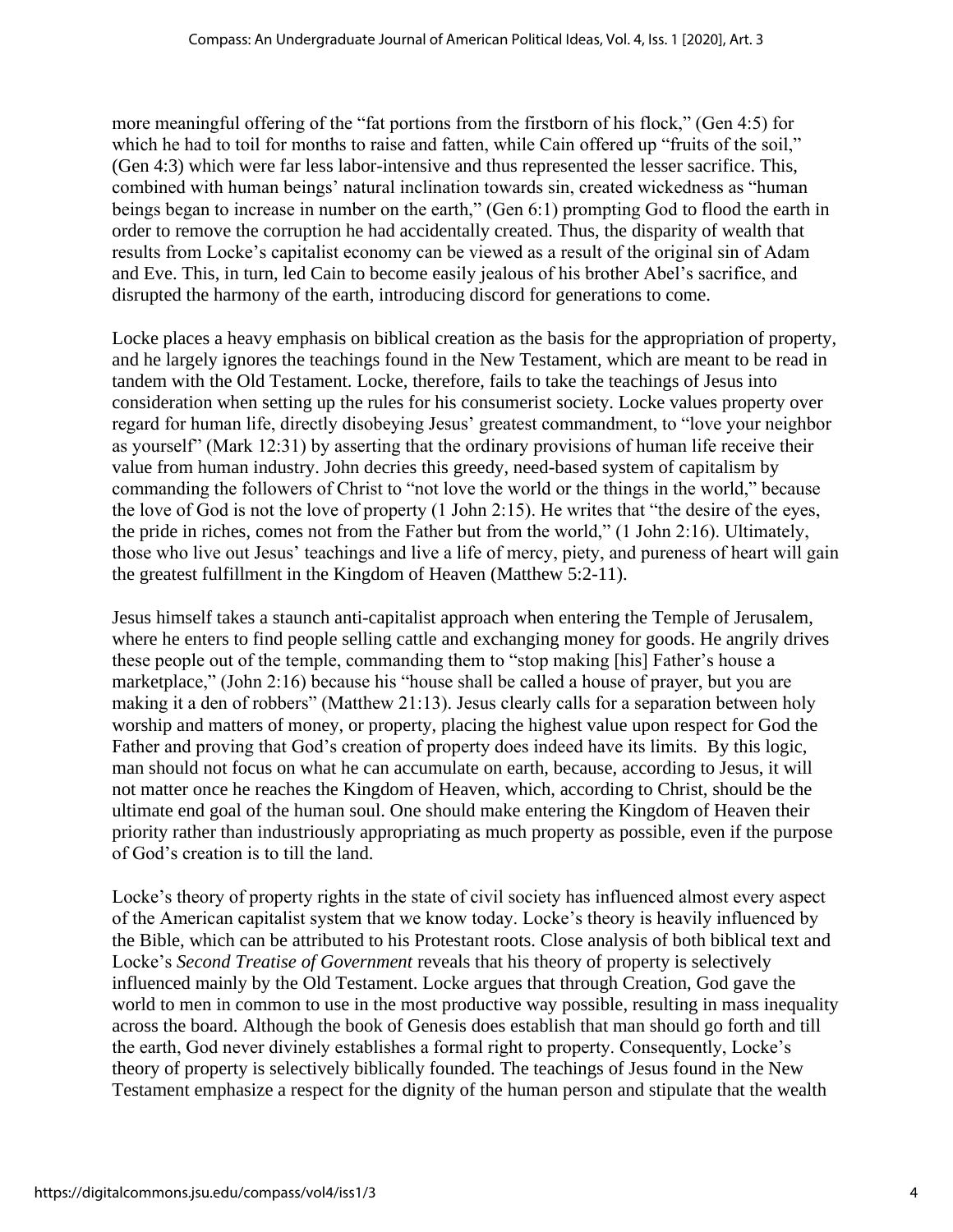more meaningful offering of the "fat portions from the firstborn of his flock," (Gen 4:5) for which he had to toil for months to raise and fatten, while Cain offered up "fruits of the soil," (Gen 4:3) which were far less labor-intensive and thus represented the lesser sacrifice. This, combined with human beings' natural inclination towards sin, created wickedness as "human beings began to increase in number on the earth," (Gen 6:1) prompting God to flood the earth in order to remove the corruption he had accidentally created. Thus, the disparity of wealth that results from Locke's capitalist economy can be viewed as a result of the original sin of Adam and Eve. This, in turn, led Cain to become easily jealous of his brother Abel's sacrifice, and disrupted the harmony of the earth, introducing discord for generations to come.

Locke places a heavy emphasis on biblical creation as the basis for the appropriation of property, and he largely ignores the teachings found in the New Testament, which are meant to be read in tandem with the Old Testament. Locke, therefore, fails to take the teachings of Jesus into consideration when setting up the rules for his consumerist society. Locke values property over regard for human life, directly disobeying Jesus' greatest commandment, to "love your neighbor as yourself" (Mark 12:31) by asserting that the ordinary provisions of human life receive their value from human industry. John decries this greedy, need-based system of capitalism by commanding the followers of Christ to "not love the world or the things in the world," because the love of God is not the love of property (1 John 2:15). He writes that "the desire of the eyes, the pride in riches, comes not from the Father but from the world," (1 John 2:16). Ultimately, those who live out Jesus' teachings and live a life of mercy, piety, and pureness of heart will gain the greatest fulfillment in the Kingdom of Heaven (Matthew 5:2-11).

Jesus himself takes a staunch anti-capitalist approach when entering the Temple of Jerusalem, where he enters to find people selling cattle and exchanging money for goods. He angrily drives these people out of the temple, commanding them to "stop making [his] Father's house a marketplace," (John 2:16) because his "house shall be called a house of prayer, but you are making it a den of robbers" (Matthew 21:13). Jesus clearly calls for a separation between holy worship and matters of money, or property, placing the highest value upon respect for God the Father and proving that God's creation of property does indeed have its limits. By this logic, man should not focus on what he can accumulate on earth, because, according to Jesus, it will not matter once he reaches the Kingdom of Heaven, which, according to Christ, should be the ultimate end goal of the human soul. One should make entering the Kingdom of Heaven their priority rather than industriously appropriating as much property as possible, even if the purpose of God's creation is to till the land.

Locke's theory of property rights in the state of civil society has influenced almost every aspect of the American capitalist system that we know today. Locke's theory is heavily influenced by the Bible, which can be attributed to his Protestant roots. Close analysis of both biblical text and Locke's *Second Treatise of Government* reveals that his theory of property is selectively influenced mainly by the Old Testament. Locke argues that through Creation, God gave the world to men in common to use in the most productive way possible, resulting in mass inequality across the board. Although the book of Genesis does establish that man should go forth and till the earth, God never divinely establishes a formal right to property. Consequently, Locke's theory of property is selectively biblically founded. The teachings of Jesus found in the New Testament emphasize a respect for the dignity of the human person and stipulate that the wealth